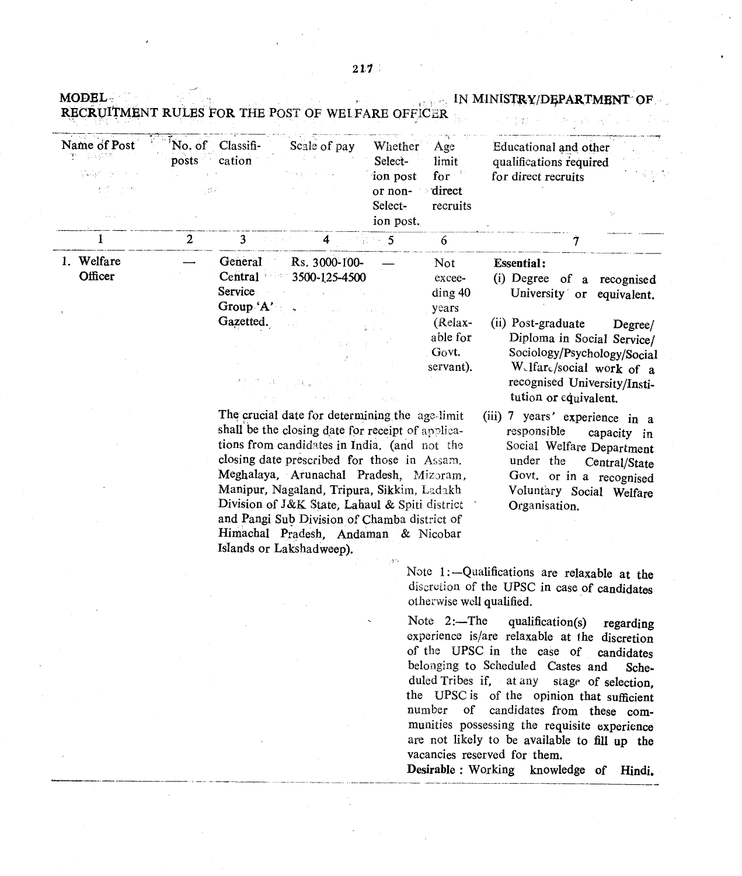| <b>MODEL</b>                                  |                              |                                                            | RECRUITMENT RULES FOR THE POST OF WELFARE OFFICER |                                                                   |                                             | IN MINISTRY/DEPARTMENT OF<br>经内部的 医                                                        |
|-----------------------------------------------|------------------------------|------------------------------------------------------------|---------------------------------------------------|-------------------------------------------------------------------|---------------------------------------------|--------------------------------------------------------------------------------------------|
| Name of Post<br>聖人 多球球<br>설명된 공식 시대<br>医感觉 网络 | posts b<br>$\chi \to$<br>医肾炎 | No. of Classifi-<br>cation                                 | Scale of pay                                      | Whether<br>Select-<br>ion post<br>or non-<br>Select-<br>ion post. | Age<br>limit<br>for<br>direct<br>recruits   | Educational and other<br>qualifications required<br>for direct recruits                    |
|                                               | $\overline{2}$               | 3                                                          | 4                                                 | 2534.5                                                            | 6                                           |                                                                                            |
| Welfare<br>Officer                            |                              | General<br>Central<br><b>Service</b><br>Group $A^{\prime}$ | Rs. 3000-100-<br>3500-125-4500<br>$\sim 10^{11}$  |                                                                   | Not<br>excee-<br>$\mathrm{diag}40$<br>years | <b>Essential:</b><br>(i) Degree of a recognised<br>University or equivalent.               |
|                                               |                              | Gazetted.                                                  | 1,410                                             |                                                                   | (Relax-<br>able for<br>Govt.                | (ii) Post-graduate<br>Degree/<br>Diploma in Social Service/<br>Sociology/Psychology/Social |

servant).

The crucial date for determining the age-limit shall be the closing date for receipt of applications from candidates in India. (and not the closing date prescribed for those in Assam. Meghalaya, Arunachal Pradesh, Mizoram, Manipur, Nagaland, Tripura, Sikkim, Ladakh Division of J&K State, Lahaul & Spiti district and Pangi Sub Division of Chamba district of Himachal Pradesh, Andaman & Nicobar Islands or Lakshadweep).

(iii) 7 years' experience in a responsible capacity in Social Welfare Department under the Central/State Govt. or in a recognised Voluntary Social Welfare Organisation.

W.lfarc/social work of a recognised University/Institution or equivalent.

Note 1:-Qualifications are relaxable at the discretion of the UPSC in case of candidates otherwise well qualified. .

Note  $2$ :-The qualification(s) regarding experience is/are relaxable at the discretion of the UPSC in the case of candidates belonging to Scheduled Castes and Scheduled Tribes if, at any stage of selection, the UPSC is of the opinion that sufficient number of candidates from these communities possessing the requisite experience are not likely to be available to fill up the vacancies reserved for them.

Desirable: WOrking knowledge of Hindi.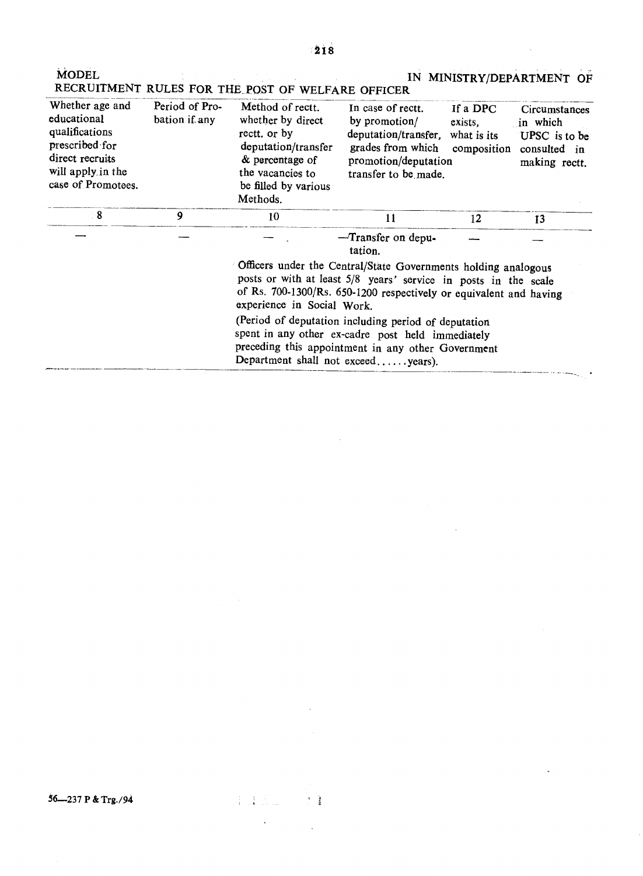| <b>MODEL</b>                                                                                                                     |                                 | RECRUITMENT RULES FOR THE POST OF WELFARE OFFICER                                                                                                                                                                                     |                                                                                                                                             |                                    | IN MINISTRY/DEPARTMENT OF                                                   |  |  |
|----------------------------------------------------------------------------------------------------------------------------------|---------------------------------|---------------------------------------------------------------------------------------------------------------------------------------------------------------------------------------------------------------------------------------|---------------------------------------------------------------------------------------------------------------------------------------------|------------------------------------|-----------------------------------------------------------------------------|--|--|
| Whether age and<br>educational<br>qualifications<br>prescribed for<br>direct recruits<br>will apply in the<br>case of Promotees. | Period of Pro-<br>bation if any | Method of rectt.<br>whether by direct<br>rectt. or by<br>deputation/transfer<br>& percentage of<br>the vacancies to<br>be filled by various<br>Methods.                                                                               | In case of rectt.<br>by promotion/<br>deputation/transfer, what is its<br>grades from which<br>promotion/deputation<br>transfer to be made. | If a DPC<br>exists,<br>composition | Circumstances<br>in which<br>UPSC is to be<br>consulted in<br>making rectt. |  |  |
| 8                                                                                                                                | 9                               | 10                                                                                                                                                                                                                                    | 11                                                                                                                                          | 12                                 | 13                                                                          |  |  |
|                                                                                                                                  |                                 |                                                                                                                                                                                                                                       | -Transfer on depu-<br>tation.                                                                                                               |                                    |                                                                             |  |  |
|                                                                                                                                  |                                 | Officers under the Central/State Governments holding analogous<br>posts or with at least 5/8 years' service in posts in the scale<br>of Rs. 700-1300/Rs. 650-1200 respectively or equivalent and having<br>experience in Social Work. |                                                                                                                                             |                                    |                                                                             |  |  |
|                                                                                                                                  |                                 | spent in any other ex-cadre post held immediately<br>preceding this appointment in any other Government<br>Department shall not exceedyears).                                                                                         | (Period of deputation including period of deputation                                                                                        |                                    |                                                                             |  |  |

 $\sim$   $\sim$ 

a communication colorador.

 $\downarrow$ 

 $\hat{\mathcal{A}}$ 

 $\mathcal{L}^{\text{max}}_{\text{max}}$  ,  $\mathcal{L}^{\text{max}}_{\text{max}}$ 

 $\sim$   $\sim$ 

56-237 P & Trg./94

 $\left\{\begin{array}{ll} 1 & \text{if } \mathbb{R} \rightarrow \mathbb{R} \\ 1 & \text{if } \mathbb{R} \rightarrow \mathbb{R} \end{array}\right. \text{ and } \left\{\begin{array}{ll} 1 & \text{if } \mathbb{R} \\ 1 & \text{if } \mathbb{R} \end{array}\right.$ 

 $\label{eq:2.1} \frac{1}{\sqrt{2}}\left(\frac{1}{\sqrt{2}}\right)^{2} \left(\frac{1}{\sqrt{2}}\right)^{2} \left(\frac{1}{\sqrt{2}}\right)^{2}$ 

 $\mathcal{L}^{\text{max}}_{\text{max}}$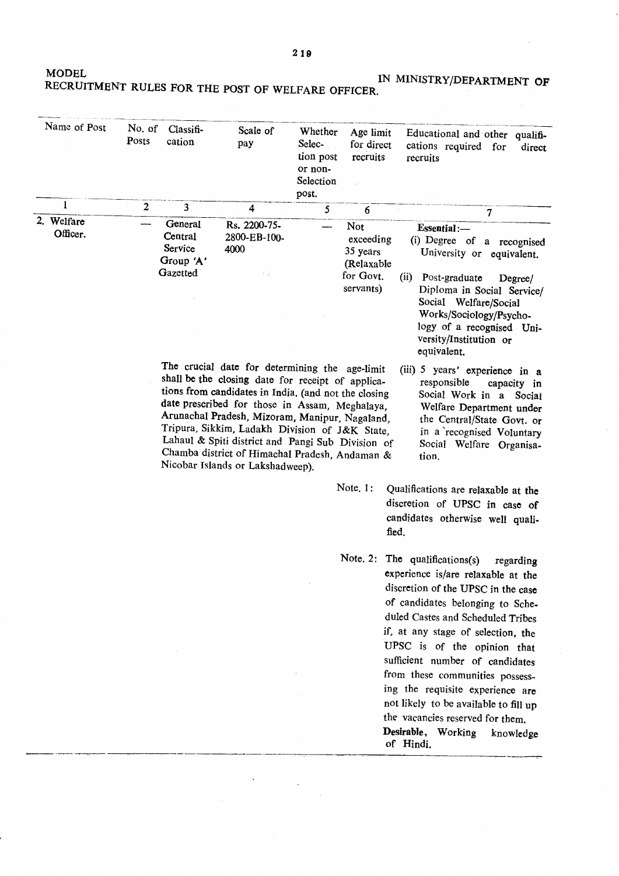$219$ 

MODEL IN MINISTRY/DEPARTMENT **OF**

 $\sim$  4  $^{\circ}$ 

 $\hat{\boldsymbol{\theta}}$ 

 $\sim$ 

| LECRUITMENT RULES FOR THE POST OF WELFARE OFFICER. |  |  |  |
|----------------------------------------------------|--|--|--|
|                                                    |  |  |  |

| Name of Post           | No. of<br>Posts  | Classifi-<br>cation                                    | Scale of<br>pay                                                                                                                                                                                                                                                                                                                                                                                                                                              | Whether<br>Selec-<br>tion post<br>or non-<br>Selection<br>post. | Age limit<br>for direct<br>recruits                                  | Educational and other qualifi-<br>cations required for<br>direct<br>recruits                                                                                                                                                                                                                                                                                                    |
|------------------------|------------------|--------------------------------------------------------|--------------------------------------------------------------------------------------------------------------------------------------------------------------------------------------------------------------------------------------------------------------------------------------------------------------------------------------------------------------------------------------------------------------------------------------------------------------|-----------------------------------------------------------------|----------------------------------------------------------------------|---------------------------------------------------------------------------------------------------------------------------------------------------------------------------------------------------------------------------------------------------------------------------------------------------------------------------------------------------------------------------------|
| 1                      | $\boldsymbol{2}$ | $\overline{\mathbf{3}}$                                | 4                                                                                                                                                                                                                                                                                                                                                                                                                                                            | 5                                                               | 6                                                                    | $\overline{\mathcal{L}}$                                                                                                                                                                                                                                                                                                                                                        |
| 2. Welfare<br>Officer. |                  | General<br>Central<br>Service<br>Group 'A'<br>Gazetted | Rs. 2200-75-<br>2800-EB-100-<br>4000<br>Υÿ.                                                                                                                                                                                                                                                                                                                                                                                                                  |                                                                 | Not<br>exceeding<br>35 years<br>(Relaxable<br>for Govt.<br>servants) | Essential:-<br>(i) Degree of a recognised<br>University or equivalent.<br>(ii)<br>Post-graduate<br>Degree/<br>Diploma in Social Service/<br>Social Welfare/Social<br>Works/Sociology/Psycho-<br>logy of a recognised Uni-<br>versity/Institution or                                                                                                                             |
|                        |                  |                                                        | The crucial date for determining the age-limit<br>shall be the closing date for receipt of applica-<br>tions from candidates in India. (and not the closing<br>date prescribed for those in Assam, Meghalaya,<br>Arunachal Pradesh, Mizoram, Manipur, Nagaland,<br>Tripura, Sikkim, Ladakh Division of J&K State,<br>Lahaul & Spiti district and Pangi Sub Division of<br>Chamba district of Himachal Pradesh, Andaman &<br>Nicobar Islands or Lakshadweep). |                                                                 | Note <sub>.1</sub> :                                                 | (iii) 5 years' experience in a<br>responsible<br>capacity in<br>Social Work in a Social<br>Welfare Department under<br>the Central/State Govt. or<br>in a recognised Voluntary<br>Social Welfare Organisa-<br>tion.<br>Qualifications are relaxable at the<br>discretion of UPSC in case of                                                                                     |
|                        |                  |                                                        |                                                                                                                                                                                                                                                                                                                                                                                                                                                              |                                                                 | candidates otherwise well quali-<br>fied.                            |                                                                                                                                                                                                                                                                                                                                                                                 |
|                        |                  |                                                        |                                                                                                                                                                                                                                                                                                                                                                                                                                                              |                                                                 |                                                                      | Note. 2: The qualifications(s)<br>regarding<br>experience is/are relaxable at the<br>discretion of the UPSC in the case<br>of candidates belonging to Sche-<br>duled Castes and Scheduled Tribes<br>if, at any stage of selection, the<br>UPSC is of the opinion that<br>sufficient number of candidates<br>from these communities possess-<br>ing the requisite experience are |

 $\label{eq:2} \frac{1}{\sqrt{2}}\sum_{i=1}^n\frac{1}{\sqrt{2}}\sum_{i=1}^n\frac{1}{\sqrt{2}}\sum_{i=1}^n\frac{1}{\sqrt{2}}\sum_{i=1}^n\frac{1}{\sqrt{2}}\sum_{i=1}^n\frac{1}{\sqrt{2}}\sum_{i=1}^n\frac{1}{\sqrt{2}}\sum_{i=1}^n\frac{1}{\sqrt{2}}\sum_{i=1}^n\frac{1}{\sqrt{2}}\sum_{i=1}^n\frac{1}{\sqrt{2}}\sum_{i=1}^n\frac{1}{\sqrt{2}}\sum_{i=1}^n\frac{1$ 

 $\mathcal{A}^{\pm}$ 

 $\sum_{n=1}^{\infty}$ 'Containe,<br>.e. tt:...4: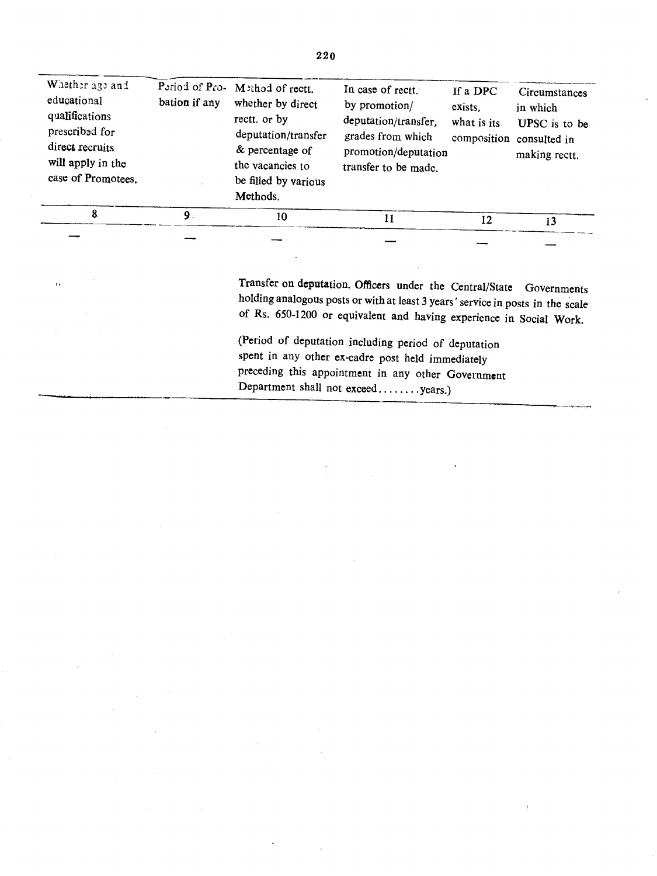| Whether age and<br>educational<br>qualifications<br>prescribed for<br>direct recruits<br>will apply in the<br>case of Promotees. | bation if any | Period of Pro- Method of rectt.<br>whether by direct<br>rectt. or by<br>deputation/transfer<br>& percentage of<br>the vacancies to<br>be filled by various<br>Methods. | In case of rectt.<br>by promotion/<br>deputation/transfer.<br>grades from which<br>promotion/deputation<br>transfer to be made. | If a DPC<br>exists.<br>what is its | Circumstances<br>in which<br>UPSC is to be<br>composition consulted in<br>making rectt. |
|----------------------------------------------------------------------------------------------------------------------------------|---------------|------------------------------------------------------------------------------------------------------------------------------------------------------------------------|---------------------------------------------------------------------------------------------------------------------------------|------------------------------------|-----------------------------------------------------------------------------------------|
| 8.                                                                                                                               | 9.            | 10                                                                                                                                                                     | 11                                                                                                                              | 12                                 | 13                                                                                      |
|                                                                                                                                  |               |                                                                                                                                                                        |                                                                                                                                 |                                    |                                                                                         |

 $\hat{\mathbf{a}}$ 

Transfer on deputation. Officers under the Central/State Governments holding analogous posts or with at least 3 years' service in posts in the scale of Rs. 650-1200 or equivalent and haVing experience in Social Work.

(Period of deputation including period of deputation spent in any other ex-cadre post held immediately preceding this appointment in any other Government Department shall not exceed........years.)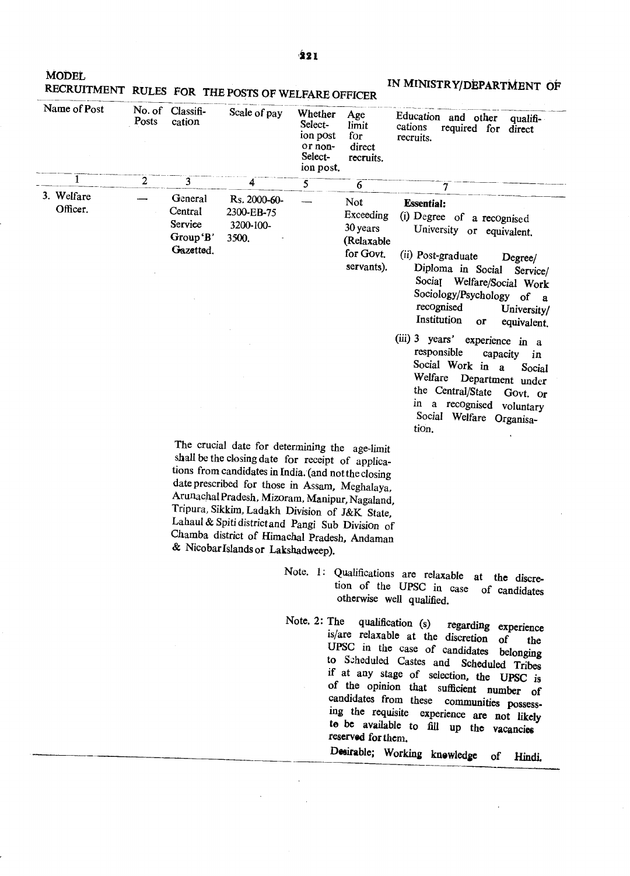**MODEL** 

| Name of Post           | Posts | No. of Classifi-<br>cation                             | Scale of pay                                                                                                                                                                                                                                                                                                                                                                                                                                                 | Whether<br>Select-<br>ion post<br>or non-<br>Select-<br>ion post. | Age<br>limit<br>for<br>direct<br>recruits.                            | Education and other<br>qualifi-<br>cations<br>required for direct<br>recruits.                                                                                                                                                                                                                                                                                          |
|------------------------|-------|--------------------------------------------------------|--------------------------------------------------------------------------------------------------------------------------------------------------------------------------------------------------------------------------------------------------------------------------------------------------------------------------------------------------------------------------------------------------------------------------------------------------------------|-------------------------------------------------------------------|-----------------------------------------------------------------------|-------------------------------------------------------------------------------------------------------------------------------------------------------------------------------------------------------------------------------------------------------------------------------------------------------------------------------------------------------------------------|
| 1                      | 2     | 3                                                      | 4                                                                                                                                                                                                                                                                                                                                                                                                                                                            | $\overline{5}$                                                    | $\overline{6}$                                                        | 7                                                                                                                                                                                                                                                                                                                                                                       |
| 3. Welfare<br>Officer. |       | General<br>Central<br>Service<br>Group'B'<br>Gazetted. | Rs. 2000-60-<br>2300-EB-75<br>3200-100-<br>3500.                                                                                                                                                                                                                                                                                                                                                                                                             |                                                                   | Not<br>Exceeding<br>30 years<br>(Relaxable<br>for Govt.<br>servants). | <b>Essential:</b><br>(i) Degree of a recognised<br>University or equivalent.<br>(ii) Post-graduate<br>Degree/<br>Diploma in Social<br>Service/<br>Social Welfare/Social Work                                                                                                                                                                                            |
|                        |       |                                                        |                                                                                                                                                                                                                                                                                                                                                                                                                                                              |                                                                   |                                                                       | Sociology/Psychology of a<br>recognised<br>University/<br>Institution<br>or<br>equivalent.                                                                                                                                                                                                                                                                              |
|                        |       |                                                        |                                                                                                                                                                                                                                                                                                                                                                                                                                                              |                                                                   |                                                                       | $(iii)$ 3 years'<br>experience in a<br>responsible<br>capacity<br>in<br>Social Work in<br>$\mathbf{a}$<br>Social<br>Welfare<br>Department under<br>the Central/State<br>Govt. or<br>in a recognised voluntary<br>Social Welfare Organisa-<br>tion.                                                                                                                      |
|                        |       |                                                        | The crucial date for determining the age-limit<br>shall be the closing date for receipt of applica-<br>tions from candidates in India. (and not the closing<br>date prescribed for those in Assam, Meghalaya,<br>Arunachal Pradesh, Mizoram, Manipur, Nagaland,<br>Tripura, Sikkim, Ladakh Division of J&K State,<br>Lahaul & Spiti district and Pangi Sub Division of<br>Chamba district of Himachal Pradesh, Andaman<br>& Nicobar Islands or Lakshadweep). |                                                                   |                                                                       |                                                                                                                                                                                                                                                                                                                                                                         |
|                        |       |                                                        |                                                                                                                                                                                                                                                                                                                                                                                                                                                              |                                                                   |                                                                       | Note. 1: Qualifications are relaxable at the discre-<br>tion of the UPSC in case of candidates<br>otherwise well qualified.                                                                                                                                                                                                                                             |
|                        |       |                                                        |                                                                                                                                                                                                                                                                                                                                                                                                                                                              | Note, 2: The                                                      |                                                                       | qualification (s) regarding experience<br>is/are relaxable at the discretion of<br>the<br>UPSC in the case of candidates<br>belonging<br>to Scheduled Castes and Scheduled Tribes<br>if at any stage of selection, the UPSC is<br>of the opinion that sufficient number of<br>candidates from these communities possess-<br>ing the requisite experience are not likely |

 $\mathcal{A}^{\text{max}}_{\text{max}}$ 

 $\sim 10^7$ 

 $\sim 1$ 

## MODEL<br>RECRUITMENT RULES FOR THE POSTS OF WELFARE OFFICER IN MINISTRY/DEPARTMENT OF

 $\mathcal{A}$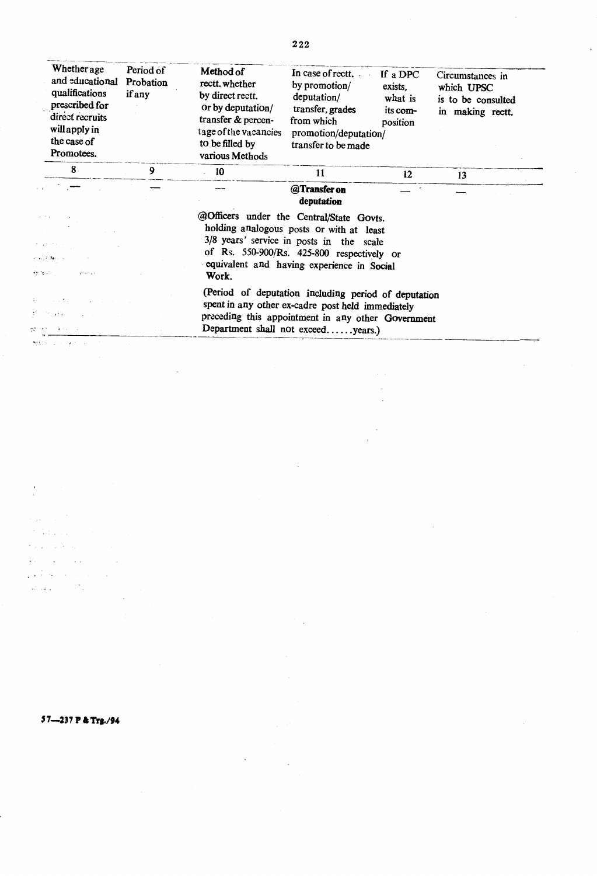| Whether age<br>and educational<br>qualifications<br>prescribed for<br>direct recruits<br>will apply in<br>the case of<br>Promotees. | Period of<br>Probation<br>if any | Method of<br>rectt.whether<br>by direct rectt.<br>or by deputation/<br>transfer & percen-<br>tage of the vacancies<br>to be filled by<br>various Methods                                              | In case of rectt.<br>by promotion/<br>deputation/<br>transfer, grades<br>from which<br>promotion/deputation/<br>transfer to be made | If a DPC<br>exists.<br>what is<br>its com-<br>position | Circumstances in<br>which UPSC<br>is to be consulted<br>in making rectt. |  |  |  |
|-------------------------------------------------------------------------------------------------------------------------------------|----------------------------------|-------------------------------------------------------------------------------------------------------------------------------------------------------------------------------------------------------|-------------------------------------------------------------------------------------------------------------------------------------|--------------------------------------------------------|--------------------------------------------------------------------------|--|--|--|
| 8                                                                                                                                   | 9                                | $-10$                                                                                                                                                                                                 | 11                                                                                                                                  | 12                                                     | 13                                                                       |  |  |  |
|                                                                                                                                     |                                  |                                                                                                                                                                                                       | @Transfer on<br>deputation                                                                                                          |                                                        |                                                                          |  |  |  |
| 不可受挫灭的<br>経済のことによる                                                                                                                  |                                  | @Officers under the Central/State Govts.<br>equivalent and having experience in Social<br>Work.                                                                                                       | holding analogous posts or with at least<br>3/8 years' service in posts in the scale<br>of Rs. 550-900/Rs. 425-800 respectively or  |                                                        |                                                                          |  |  |  |
| 100,000<br>mage for Albany State State<br>解放 ファース・コード                                                                               |                                  | (Period of deputation including period of deputation<br>spent in any other ex-cadre post held immediately<br>preceding this appointment in any other Government<br>Department shall not exceedyears.) |                                                                                                                                     |                                                        |                                                                          |  |  |  |

 $\hat{\mathcal{A}}$ 

222

## 57-237 P & Trg./94

 $\frac{1}{2}$ 

 $\hat{\mathcal{A}}$  $\gamma$  ,  $\gamma$  ,  $\gamma$ 

 $\gamma_{\rm 2000}$  ,  $\gamma_{\rm 100}$  $\sim 100$  $\mathcal{A}^{\pm}$  $\mathcal{L}(\mathcal{A})$  and  $\mathcal{L}(\mathcal{A})$  and  $\mathcal{L}(\mathcal{A})$ 

 $\mathcal{L}^{\text{c}}$  ,  $\mathcal{L}^{\text{c}}$  ,  $\mathcal{L}^{\text{c}}$ 

 $\frac{1}{\sqrt{2}}$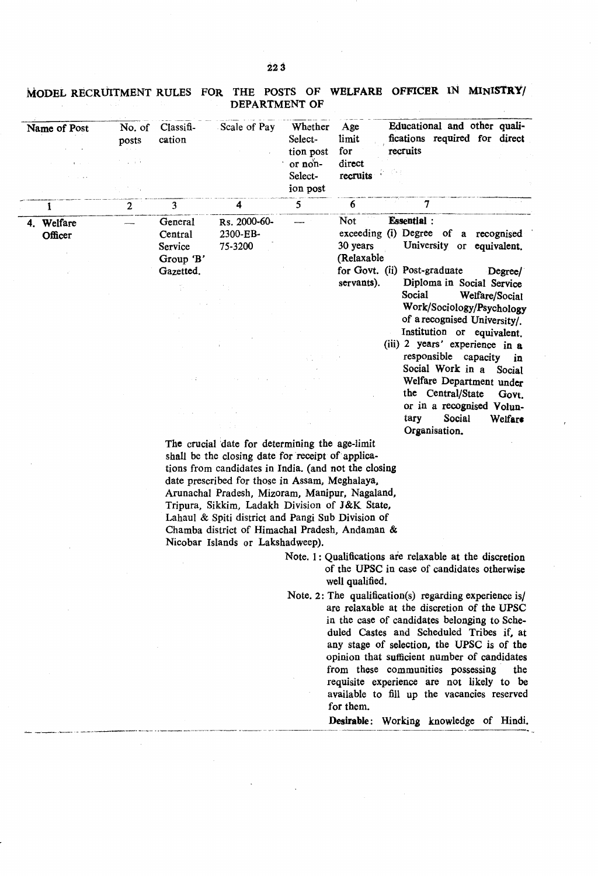| Name of Post             | No. of<br>posts<br>上京寺 | Classi <sub>f</sub><br>cation                           | Scale of Pay                        | Whether<br>Select-<br>tion post<br>or non-<br>Select-<br>ion post | Age<br>limit<br>for<br>recruits<br>direct<br>recruits                                                                               | Educational and other quali-<br>fications required for direct                                                                          |                 |
|--------------------------|------------------------|---------------------------------------------------------|-------------------------------------|-------------------------------------------------------------------|-------------------------------------------------------------------------------------------------------------------------------------|----------------------------------------------------------------------------------------------------------------------------------------|-----------------|
| 1                        | $\overline{2}$         | $\overline{\mathbf{3}}$                                 | 4                                   | 5                                                                 | 6                                                                                                                                   |                                                                                                                                        |                 |
| Welfare<br>4.<br>Officer |                        | General<br>Central<br>Service<br>Group 'B'<br>Gazetted. | Rs. 2000-60-<br>2300-EB-<br>75-3200 |                                                                   | <b>Not</b><br><b>Essential</b> :<br>exceeding (i) Degree of a recognised<br>30 years<br>(Relaxable)<br>for Govt. (ii) Post-graduate | University or equivalent.                                                                                                              | Degree/         |
|                          |                        | γ.                                                      |                                     |                                                                   | servants).<br>Social                                                                                                                | Diploma in Social Service<br>Welfare/Social<br>Work/Sociology/Psychology<br>of a recognised University/.<br>Institution or equivalent. |                 |
|                          |                        |                                                         |                                     |                                                                   |                                                                                                                                     | (iii) 2 years' experience in a<br>responsible capacity in<br>Social Work in a                                                          |                 |
|                          |                        |                                                         |                                     |                                                                   |                                                                                                                                     | Welfare Department under<br>the Central/State                                                                                          | Social<br>Govt. |
|                          |                        |                                                         |                                     |                                                                   | tary                                                                                                                                | or in a recognised Volun-<br>Social<br>Organisation.                                                                                   | Welfare         |

MODEL RECRUITMENT RULES FOR THE POSTS OF WELFARE OFFICER IN MINISTRY/ DEPARTMENT OF

> tions from candidates in India. (and not the closing date prescribed for those in Assam, Meghalaya, Arunachal Pradesh, Mizoram, Manipur, Nagaland, Tripura, Sikkim, Ladakh Division of J&K State, Lahaul & Spiti district and Pangi Sub Division of Chamba district of Himachal Pradesh, Andaman & Nicobar Islands or Lakshadweep).

> > Note. 1: Qualifications are relaxable at the discretion of the UPSC in case of candidates otherwise well qualified.

Note. 2: The qualification(s) regarding experience is/ are relaxable at the discretion of the UPSC in the case of candidates belonging to Scheduled Castes and Scheduled Tribes if, at any stage of selection, the UPSC is of the opinion that sufficient number of candidates from these communities possessing the requisite experience are not likely to be available to fill up the vacancies reserved for them.

Desirable: Working knowledge of Hindi.